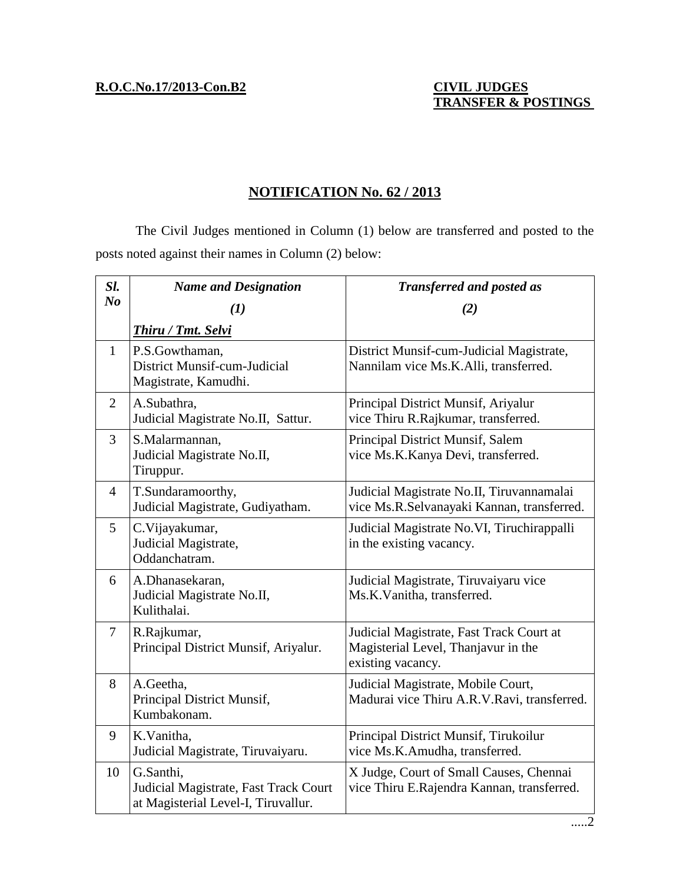## **TRANSFER & POSTINGS**

## **NOTIFICATION No. 62 / 2013**

The Civil Judges mentioned in Column (1) below are transferred and posted to the posts noted against their names in Column (2) below:

| Sl.                            | <b>Name and Designation</b>                                                               | <b>Transferred and posted as</b>                                                                     |
|--------------------------------|-------------------------------------------------------------------------------------------|------------------------------------------------------------------------------------------------------|
| $\boldsymbol{N}\boldsymbol{o}$ | (1)                                                                                       | (2)                                                                                                  |
|                                | Thiru / Tmt. Selvi                                                                        |                                                                                                      |
| $\mathbf{1}$                   | P.S.Gowthaman,<br>District Munsif-cum-Judicial<br>Magistrate, Kamudhi.                    | District Munsif-cum-Judicial Magistrate,<br>Nannilam vice Ms.K.Alli, transferred.                    |
| $\overline{2}$                 | A.Subathra,<br>Judicial Magistrate No.II, Sattur.                                         | Principal District Munsif, Ariyalur<br>vice Thiru R.Rajkumar, transferred.                           |
| $\overline{3}$                 | S.Malarmannan,<br>Judicial Magistrate No.II,<br>Tiruppur.                                 | Principal District Munsif, Salem<br>vice Ms.K.Kanya Devi, transferred.                               |
| $\overline{4}$                 | T.Sundaramoorthy,<br>Judicial Magistrate, Gudiyatham.                                     | Judicial Magistrate No.II, Tiruvannamalai<br>vice Ms.R.Selvanayaki Kannan, transferred.              |
| $5\overline{)}$                | C.Vijayakumar,<br>Judicial Magistrate,<br>Oddanchatram.                                   | Judicial Magistrate No.VI, Tiruchirappalli<br>in the existing vacancy.                               |
| 6                              | A.Dhanasekaran,<br>Judicial Magistrate No.II,<br>Kulithalai.                              | Judicial Magistrate, Tiruvaiyaru vice<br>Ms.K.Vanitha, transferred.                                  |
| $\tau$                         | R.Rajkumar,<br>Principal District Munsif, Ariyalur.                                       | Judicial Magistrate, Fast Track Court at<br>Magisterial Level, Thanjavur in the<br>existing vacancy. |
| 8                              | A.Geetha,<br>Principal District Munsif,<br>Kumbakonam.                                    | Judicial Magistrate, Mobile Court,<br>Madurai vice Thiru A.R.V.Ravi, transferred.                    |
| 9                              | K.Vanitha,<br>Judicial Magistrate, Tiruvaiyaru.                                           | Principal District Munsif, Tirukoilur<br>vice Ms.K.Amudha, transferred.                              |
| 10                             | G.Santhi,<br>Judicial Magistrate, Fast Track Court<br>at Magisterial Level-I, Tiruvallur. | X Judge, Court of Small Causes, Chennai<br>vice Thiru E.Rajendra Kannan, transferred.                |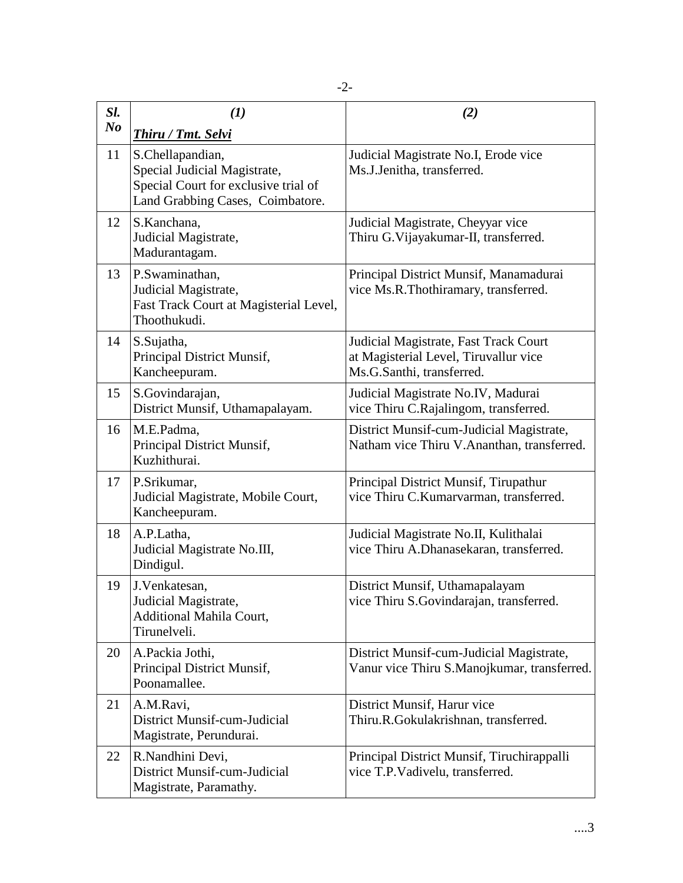| Sl.            | (1)                                                                                                                          | (2)                                                                                                         |
|----------------|------------------------------------------------------------------------------------------------------------------------------|-------------------------------------------------------------------------------------------------------------|
| N <sub>o</sub> | <b>Thiru / Tmt. Selvi</b>                                                                                                    |                                                                                                             |
| 11             | S.Chellapandian,<br>Special Judicial Magistrate,<br>Special Court for exclusive trial of<br>Land Grabbing Cases, Coimbatore. | Judicial Magistrate No.I, Erode vice<br>Ms.J.Jenitha, transferred.                                          |
| 12             | S.Kanchana,<br>Judicial Magistrate,<br>Madurantagam.                                                                         | Judicial Magistrate, Cheyyar vice<br>Thiru G.Vijayakumar-II, transferred.                                   |
| 13             | P.Swaminathan,<br>Judicial Magistrate,<br>Fast Track Court at Magisterial Level,<br>Thoothukudi.                             | Principal District Munsif, Manamadurai<br>vice Ms.R.Thothiramary, transferred.                              |
| 14             | S.Sujatha,<br>Principal District Munsif,<br>Kancheepuram.                                                                    | Judicial Magistrate, Fast Track Court<br>at Magisterial Level, Tiruvallur vice<br>Ms.G.Santhi, transferred. |
| 15             | S.Govindarajan,<br>District Munsif, Uthamapalayam.                                                                           | Judicial Magistrate No.IV, Madurai<br>vice Thiru C.Rajalingom, transferred.                                 |
| 16             | M.E.Padma,<br>Principal District Munsif,<br>Kuzhithurai.                                                                     | District Munsif-cum-Judicial Magistrate,<br>Natham vice Thiru V.Ananthan, transferred.                      |
| 17             | P.Srikumar,<br>Judicial Magistrate, Mobile Court,<br>Kancheepuram.                                                           | Principal District Munsif, Tirupathur<br>vice Thiru C.Kumarvarman, transferred.                             |
| 18             | A.P.Latha,<br>Judicial Magistrate No.III,<br>Dindigul.                                                                       | Judicial Magistrate No.II, Kulithalai<br>vice Thiru A.Dhanasekaran, transferred.                            |
| 19             | J.Venkatesan,<br>Judicial Magistrate,<br>Additional Mahila Court,<br>Tirunelveli.                                            | District Munsif, Uthamapalayam<br>vice Thiru S.Govindarajan, transferred.                                   |
| 20             | A.Packia Jothi,<br>Principal District Munsif,<br>Poonamallee.                                                                | District Munsif-cum-Judicial Magistrate,<br>Vanur vice Thiru S.Manojkumar, transferred.                     |
| 21             | A.M.Ravi,<br>District Munsif-cum-Judicial<br>Magistrate, Perundurai.                                                         | District Munsif, Harur vice<br>Thiru.R.Gokulakrishnan, transferred.                                         |
| 22             | R.Nandhini Devi,<br>District Munsif-cum-Judicial<br>Magistrate, Paramathy.                                                   | Principal District Munsif, Tiruchirappalli<br>vice T.P.Vadivelu, transferred.                               |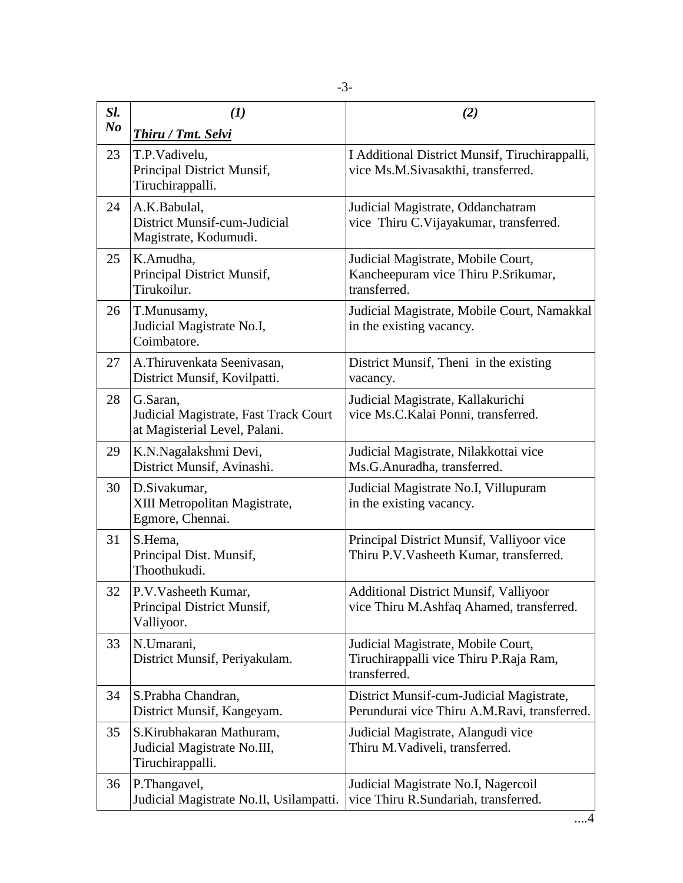| Sl.            | (1)                                                                                | (2)                                                                                          |
|----------------|------------------------------------------------------------------------------------|----------------------------------------------------------------------------------------------|
| N <sub>o</sub> | Thiru / Tmt. Selvi                                                                 |                                                                                              |
| 23             | T.P.Vadivelu,<br>Principal District Munsif,<br>Tiruchirappalli.                    | I Additional District Munsif, Tiruchirappalli,<br>vice Ms.M.Sivasakthi, transferred.         |
| 24             | A.K.Babulal,<br>District Munsif-cum-Judicial<br>Magistrate, Kodumudi.              | Judicial Magistrate, Oddanchatram<br>vice Thiru C.Vijayakumar, transferred.                  |
| 25             | K.Amudha,<br>Principal District Munsif,<br>Tirukoilur.                             | Judicial Magistrate, Mobile Court,<br>Kancheepuram vice Thiru P.Srikumar,<br>transferred.    |
| 26             | T.Munusamy,<br>Judicial Magistrate No.I,<br>Coimbatore.                            | Judicial Magistrate, Mobile Court, Namakkal<br>in the existing vacancy.                      |
| 27             | A.Thiruvenkata Seenivasan,<br>District Munsif, Kovilpatti.                         | District Munsif, Theni in the existing<br>vacancy.                                           |
| 28             | G.Saran.<br>Judicial Magistrate, Fast Track Court<br>at Magisterial Level, Palani. | Judicial Magistrate, Kallakurichi<br>vice Ms.C.Kalai Ponni, transferred.                     |
| 29             | K.N.Nagalakshmi Devi,<br>District Munsif, Avinashi.                                | Judicial Magistrate, Nilakkottai vice<br>Ms.G.Anuradha, transferred.                         |
| 30             | D.Sivakumar,<br>XIII Metropolitan Magistrate,<br>Egmore, Chennai.                  | Judicial Magistrate No.I, Villupuram<br>in the existing vacancy.                             |
| 31             | S.Hema,<br>Principal Dist. Munsif,<br>Thoothukudi.                                 | Principal District Munsif, Valliyoor vice<br>Thiru P.V. Vasheeth Kumar, transferred.         |
| 32             | P.V.Vasheeth Kumar,<br>Principal District Munsif,<br>Valliyoor.                    | <b>Additional District Munsif, Valliyoor</b><br>vice Thiru M.Ashfaq Ahamed, transferred.     |
| 33             | N.Umarani,<br>District Munsif, Periyakulam.                                        | Judicial Magistrate, Mobile Court,<br>Tiruchirappalli vice Thiru P.Raja Ram,<br>transferred. |
| 34             | S.Prabha Chandran,<br>District Munsif, Kangeyam.                                   | District Munsif-cum-Judicial Magistrate,<br>Perundurai vice Thiru A.M.Ravi, transferred.     |
| 35             | S.Kirubhakaran Mathuram,<br>Judicial Magistrate No.III,<br>Tiruchirappalli.        | Judicial Magistrate, Alangudi vice<br>Thiru M.Vadiveli, transferred.                         |
| 36             | P.Thangavel,<br>Judicial Magistrate No.II, Usilampatti.                            | Judicial Magistrate No.I, Nagercoil<br>vice Thiru R.Sundariah, transferred.                  |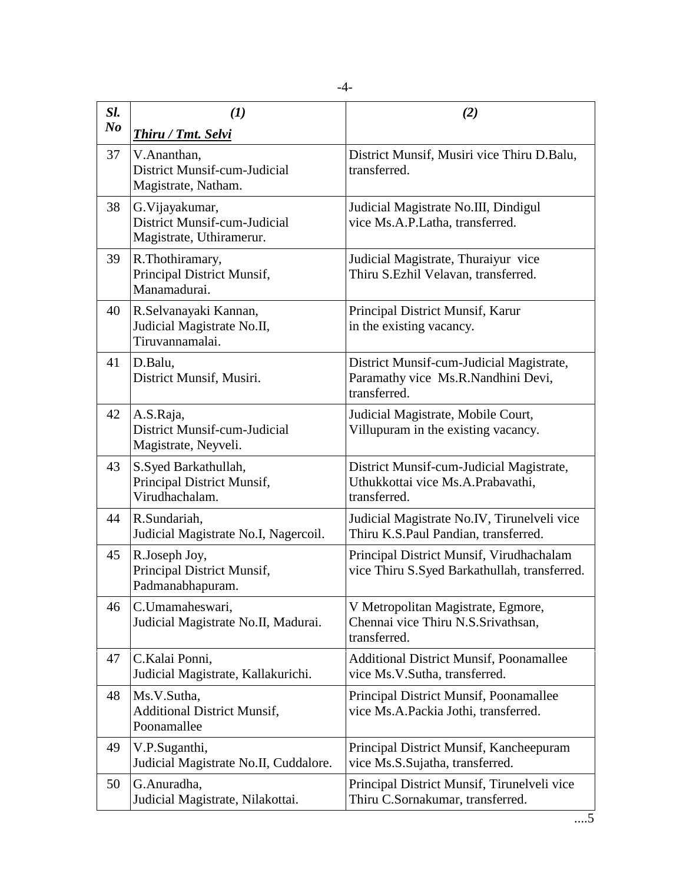| Sl.            | $\mathcal{L}(I)$                                                            | (2)                                                                                            |
|----------------|-----------------------------------------------------------------------------|------------------------------------------------------------------------------------------------|
| N <sub>o</sub> | Thiru / Tmt. Selvi                                                          |                                                                                                |
| 37             | V.Ananthan,<br>District Munsif-cum-Judicial<br>Magistrate, Natham.          | District Munsif, Musiri vice Thiru D.Balu,<br>transferred.                                     |
| 38             | G. Vijayakumar,<br>District Munsif-cum-Judicial<br>Magistrate, Uthiramerur. | Judicial Magistrate No.III, Dindigul<br>vice Ms.A.P.Latha, transferred.                        |
| 39             | R.Thothiramary,<br>Principal District Munsif,<br>Manamadurai.               | Judicial Magistrate, Thuraiyur vice<br>Thiru S.Ezhil Velavan, transferred.                     |
| 40             | R.Selvanayaki Kannan,<br>Judicial Magistrate No.II,<br>Tiruvannamalai.      | Principal District Munsif, Karur<br>in the existing vacancy.                                   |
| 41             | D.Balu,<br>District Munsif, Musiri.                                         | District Munsif-cum-Judicial Magistrate,<br>Paramathy vice Ms.R.Nandhini Devi,<br>transferred. |
| 42             | A.S.Raja,<br>District Munsif-cum-Judicial<br>Magistrate, Neyveli.           | Judicial Magistrate, Mobile Court,<br>Villupuram in the existing vacancy.                      |
| 43             | S.Syed Barkathullah,<br>Principal District Munsif,<br>Virudhachalam.        | District Munsif-cum-Judicial Magistrate,<br>Uthukkottai vice Ms.A.Prabavathi,<br>transferred.  |
| 44             | R.Sundariah,<br>Judicial Magistrate No.I, Nagercoil.                        | Judicial Magistrate No.IV, Tirunelveli vice<br>Thiru K.S.Paul Pandian, transferred.            |
| 45             | R.Joseph Joy,<br>Principal District Munsif,<br>Padmanabhapuram.             | Principal District Munsif, Virudhachalam<br>vice Thiru S.Syed Barkathullah, transferred.       |
| 46             | C.Umamaheswari,<br>Judicial Magistrate No.II, Madurai.                      | V Metropolitan Magistrate, Egmore,<br>Chennai vice Thiru N.S. Srivathsan,<br>transferred.      |
| 47             | C.Kalai Ponni,<br>Judicial Magistrate, Kallakurichi.                        | <b>Additional District Munsif, Poonamallee</b><br>vice Ms.V.Sutha, transferred.                |
| 48             | Ms.V.Sutha,<br><b>Additional District Munsif,</b><br>Poonamallee            | Principal District Munsif, Poonamallee<br>vice Ms.A.Packia Jothi, transferred.                 |
| 49             | V.P.Suganthi,<br>Judicial Magistrate No.II, Cuddalore.                      | Principal District Munsif, Kancheepuram<br>vice Ms.S.Sujatha, transferred.                     |
| 50             | G.Anuradha,<br>Judicial Magistrate, Nilakottai.                             | Principal District Munsif, Tirunelveli vice<br>Thiru C.Sornakumar, transferred.                |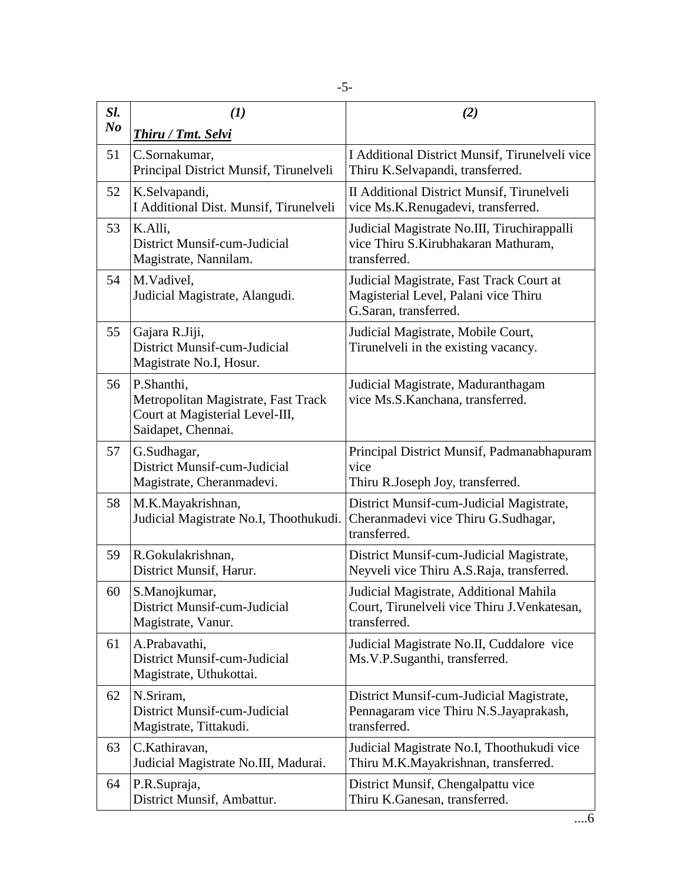| Sl.<br>N <sub>o</sub> | (1)                                                                                                        | (2)                                                                                                       |
|-----------------------|------------------------------------------------------------------------------------------------------------|-----------------------------------------------------------------------------------------------------------|
|                       | Thiru / Tmt. Selvi                                                                                         |                                                                                                           |
| 51                    | C.Sornakumar,<br>Principal District Munsif, Tirunelveli                                                    | I Additional District Munsif, Tirunelveli vice<br>Thiru K.Selvapandi, transferred.                        |
| 52                    | K.Selvapandi,<br>I Additional Dist. Munsif, Tirunelveli                                                    | II Additional District Munsif, Tirunelveli<br>vice Ms.K.Renugadevi, transferred.                          |
| 53                    | K.Alli,<br>District Munsif-cum-Judicial<br>Magistrate, Nannilam.                                           | Judicial Magistrate No.III, Tiruchirappalli<br>vice Thiru S.Kirubhakaran Mathuram,<br>transferred.        |
| 54                    | M.Vadivel,<br>Judicial Magistrate, Alangudi.                                                               | Judicial Magistrate, Fast Track Court at<br>Magisterial Level, Palani vice Thiru<br>G.Saran, transferred. |
| 55                    | Gajara R.Jiji,<br>District Munsif-cum-Judicial<br>Magistrate No.I, Hosur.                                  | Judicial Magistrate, Mobile Court,<br>Tirunelveli in the existing vacancy.                                |
| 56                    | P.Shanthi,<br>Metropolitan Magistrate, Fast Track<br>Court at Magisterial Level-III,<br>Saidapet, Chennai. | Judicial Magistrate, Maduranthagam<br>vice Ms.S.Kanchana, transferred.                                    |
| 57                    | G.Sudhagar,<br>District Munsif-cum-Judicial<br>Magistrate, Cheranmadevi.                                   | Principal District Munsif, Padmanabhapuram<br>vice<br>Thiru R.Joseph Joy, transferred.                    |
| 58                    | M.K.Mayakrishnan,<br>Judicial Magistrate No.I, Thoothukudi.                                                | District Munsif-cum-Judicial Magistrate,<br>Cheranmadevi vice Thiru G.Sudhagar,<br>transferred.           |
| 59                    | R.Gokulakrishnan,<br>District Munsif, Harur.                                                               | District Munsif-cum-Judicial Magistrate,<br>Neyveli vice Thiru A.S.Raja, transferred.                     |
| 60                    | S.Manojkumar,<br>District Munsif-cum-Judicial<br>Magistrate, Vanur.                                        | Judicial Magistrate, Additional Mahila<br>Court, Tirunelveli vice Thiru J. Venkatesan,<br>transferred.    |
| 61                    | A.Prabavathi,<br>District Munsif-cum-Judicial<br>Magistrate, Uthukottai.                                   | Judicial Magistrate No.II, Cuddalore vice<br>Ms.V.P.Suganthi, transferred.                                |
| 62                    | N.Sriram,<br>District Munsif-cum-Judicial<br>Magistrate, Tittakudi.                                        | District Munsif-cum-Judicial Magistrate,<br>Pennagaram vice Thiru N.S.Jayaprakash,<br>transferred.        |
| 63                    | C.Kathiravan,<br>Judicial Magistrate No.III, Madurai.                                                      | Judicial Magistrate No.I, Thoothukudi vice<br>Thiru M.K.Mayakrishnan, transferred.                        |
| 64                    | P.R.Supraja,<br>District Munsif, Ambattur.                                                                 | District Munsif, Chengalpattu vice<br>Thiru K.Ganesan, transferred.                                       |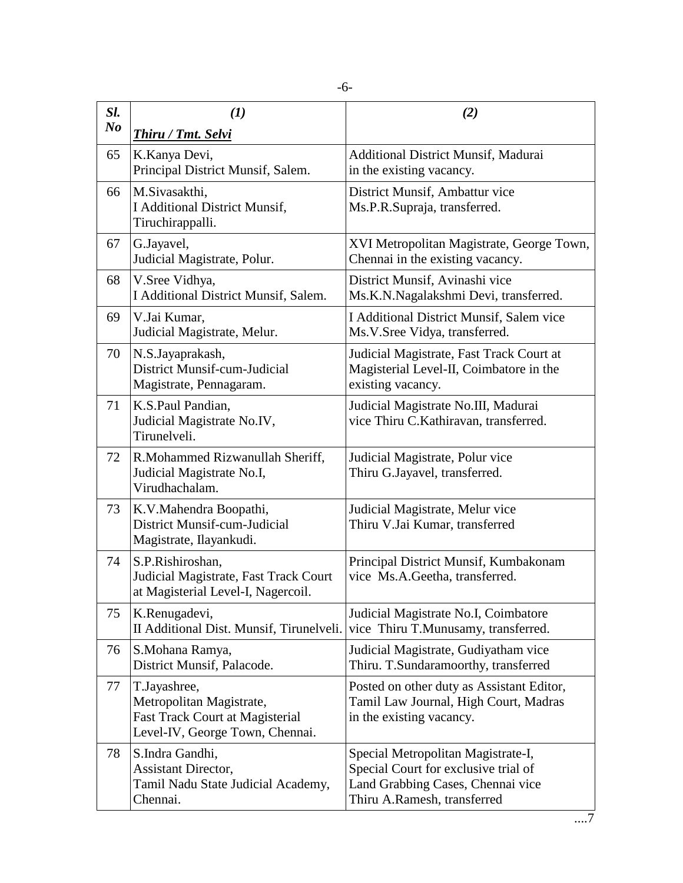| Sl.<br>$\bm{N}$ o | (1)<br>Thiru / Tmt. Selvi                                                                                             | (2)                                                                                                                                            |
|-------------------|-----------------------------------------------------------------------------------------------------------------------|------------------------------------------------------------------------------------------------------------------------------------------------|
| 65                | K.Kanya Devi,<br>Principal District Munsif, Salem.                                                                    | <b>Additional District Munsif, Madurai</b><br>in the existing vacancy.                                                                         |
| 66                | M.Sivasakthi,<br><b>I Additional District Munsif,</b><br>Tiruchirappalli.                                             | District Munsif, Ambattur vice<br>Ms.P.R.Supraja, transferred.                                                                                 |
| 67                | G.Jayavel,<br>Judicial Magistrate, Polur.                                                                             | XVI Metropolitan Magistrate, George Town,<br>Chennai in the existing vacancy.                                                                  |
| 68                | V.Sree Vidhya,<br>I Additional District Munsif, Salem.                                                                | District Munsif, Avinashi vice<br>Ms.K.N.Nagalakshmi Devi, transferred.                                                                        |
| 69                | V.Jai Kumar,<br>Judicial Magistrate, Melur.                                                                           | I Additional District Munsif, Salem vice<br>Ms.V.Sree Vidya, transferred.                                                                      |
| 70                | N.S.Jayaprakash,<br>District Munsif-cum-Judicial<br>Magistrate, Pennagaram.                                           | Judicial Magistrate, Fast Track Court at<br>Magisterial Level-II, Coimbatore in the<br>existing vacancy.                                       |
| 71                | K.S.Paul Pandian,<br>Judicial Magistrate No.IV,<br>Tirunelveli.                                                       | Judicial Magistrate No.III, Madurai<br>vice Thiru C.Kathiravan, transferred.                                                                   |
| 72                | R.Mohammed Rizwanullah Sheriff,<br>Judicial Magistrate No.I,<br>Virudhachalam.                                        | Judicial Magistrate, Polur vice<br>Thiru G.Jayavel, transferred.                                                                               |
| 73                | K.V.Mahendra Boopathi,<br>District Munsif-cum-Judicial<br>Magistrate, Ilayankudi.                                     | Judicial Magistrate, Melur vice<br>Thiru V.Jai Kumar, transferred                                                                              |
| 74                | S.P.Rishiroshan,<br>Judicial Magistrate, Fast Track Court<br>at Magisterial Level-I, Nagercoil.                       | Principal District Munsif, Kumbakonam<br>vice Ms.A.Geetha, transferred.                                                                        |
| 75                | K.Renugadevi,<br>II Additional Dist. Munsif, Tirunelveli.                                                             | Judicial Magistrate No.I, Coimbatore<br>vice Thiru T.Munusamy, transferred.                                                                    |
| 76                | S.Mohana Ramya,<br>District Munsif, Palacode.                                                                         | Judicial Magistrate, Gudiyatham vice<br>Thiru. T.Sundaramoorthy, transferred                                                                   |
| 77                | T.Jayashree,<br>Metropolitan Magistrate,<br><b>Fast Track Court at Magisterial</b><br>Level-IV, George Town, Chennai. | Posted on other duty as Assistant Editor,<br>Tamil Law Journal, High Court, Madras<br>in the existing vacancy.                                 |
| 78                | S.Indra Gandhi,<br>Assistant Director,<br>Tamil Nadu State Judicial Academy,<br>Chennai.                              | Special Metropolitan Magistrate-I,<br>Special Court for exclusive trial of<br>Land Grabbing Cases, Chennai vice<br>Thiru A.Ramesh, transferred |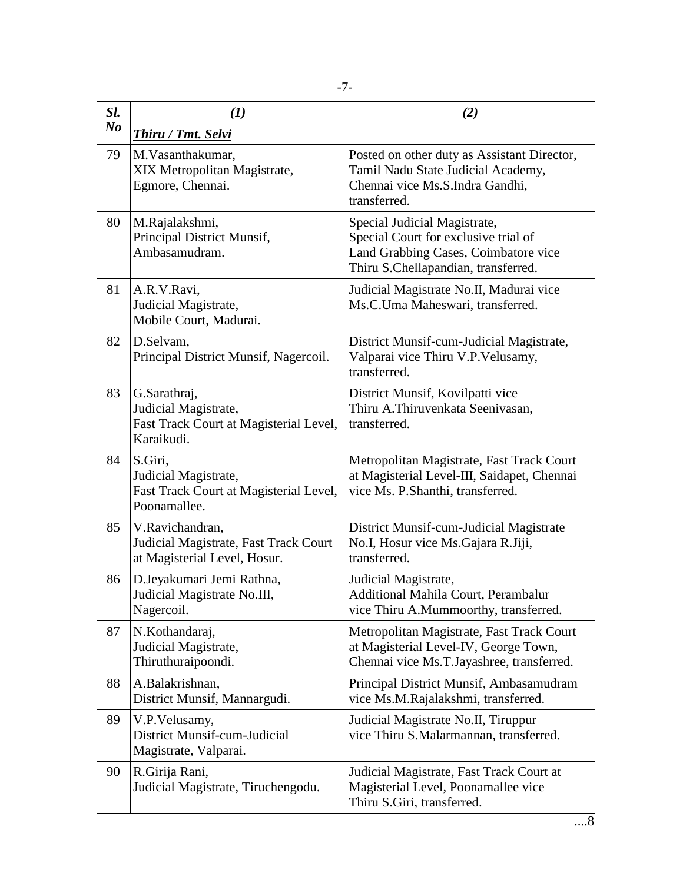| Sl.            | (1)                                                                                          | (2)                                                                                                                                                 |
|----------------|----------------------------------------------------------------------------------------------|-----------------------------------------------------------------------------------------------------------------------------------------------------|
| N <sub>o</sub> | <b>Thiru / Tmt. Selvi</b>                                                                    |                                                                                                                                                     |
| 79             | M.Vasanthakumar,<br>XIX Metropolitan Magistrate,<br>Egmore, Chennai.                         | Posted on other duty as Assistant Director,<br>Tamil Nadu State Judicial Academy,<br>Chennai vice Ms.S.Indra Gandhi,<br>transferred.                |
| 80             | M.Rajalakshmi,<br>Principal District Munsif,<br>Ambasamudram.                                | Special Judicial Magistrate,<br>Special Court for exclusive trial of<br>Land Grabbing Cases, Coimbatore vice<br>Thiru S.Chellapandian, transferred. |
| 81             | A.R.V.Ravi,<br>Judicial Magistrate,<br>Mobile Court, Madurai.                                | Judicial Magistrate No.II, Madurai vice<br>Ms.C.Uma Maheswari, transferred.                                                                         |
| 82             | D.Selvam,<br>Principal District Munsif, Nagercoil.                                           | District Munsif-cum-Judicial Magistrate,<br>Valparai vice Thiru V.P. Velusamy,<br>transferred.                                                      |
| 83             | G.Sarathraj,<br>Judicial Magistrate,<br>Fast Track Court at Magisterial Level,<br>Karaikudi. | District Munsif, Kovilpatti vice<br>Thiru A.Thiruvenkata Seenivasan,<br>transferred.                                                                |
| 84             | S.Giri,<br>Judicial Magistrate,<br>Fast Track Court at Magisterial Level,<br>Poonamallee.    | Metropolitan Magistrate, Fast Track Court<br>at Magisterial Level-III, Saidapet, Chennai<br>vice Ms. P.Shanthi, transferred.                        |
| 85             | V.Ravichandran,<br>Judicial Magistrate, Fast Track Court<br>at Magisterial Level, Hosur.     | District Munsif-cum-Judicial Magistrate<br>No.I, Hosur vice Ms.Gajara R.Jiji,<br>transferred.                                                       |
| 86             | D.Jeyakumari Jemi Rathna,<br>Judicial Magistrate No.III,<br>Nagercoil.                       | Judicial Magistrate,<br>Additional Mahila Court, Perambalur<br>vice Thiru A.Mummoorthy, transferred.                                                |
| 87             | N.Kothandaraj,<br>Judicial Magistrate,<br>Thiruthuraipoondi.                                 | Metropolitan Magistrate, Fast Track Court<br>at Magisterial Level-IV, George Town,<br>Chennai vice Ms.T.Jayashree, transferred.                     |
| 88             | A.Balakrishnan,<br>District Munsif, Mannargudi.                                              | Principal District Munsif, Ambasamudram<br>vice Ms.M.Rajalakshmi, transferred.                                                                      |
| 89             | V.P.Velusamy,<br>District Munsif-cum-Judicial<br>Magistrate, Valparai.                       | Judicial Magistrate No.II, Tiruppur<br>vice Thiru S.Malarmannan, transferred.                                                                       |
| 90             | R.Girija Rani,<br>Judicial Magistrate, Tiruchengodu.                                         | Judicial Magistrate, Fast Track Court at<br>Magisterial Level, Poonamallee vice<br>Thiru S.Giri, transferred.                                       |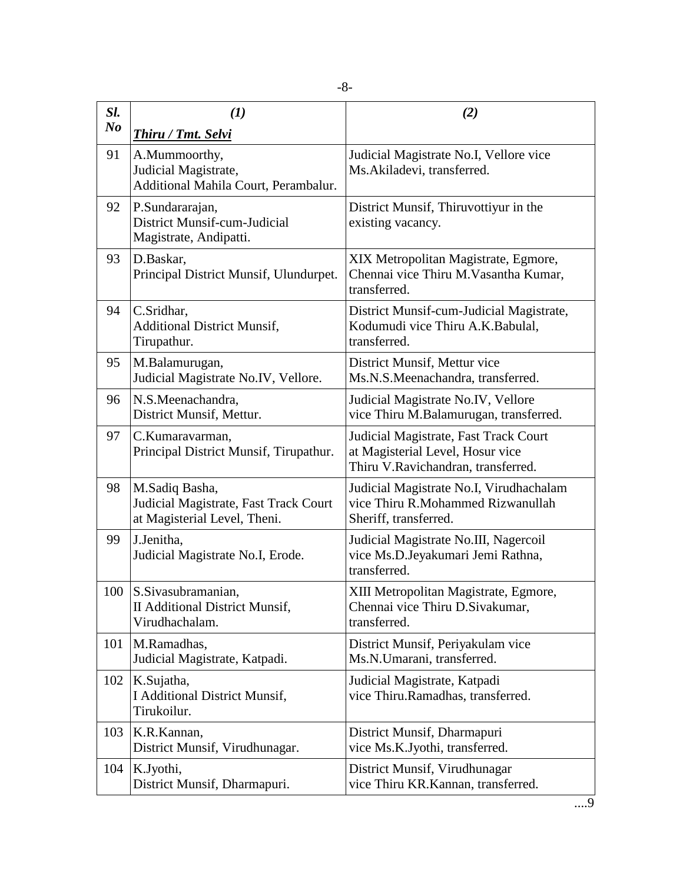| Sl.<br>N <sub>o</sub> | $\mathbf{U}$<br>Thiru / Tmt. Selvi                                                      | (2)                                                                                                             |
|-----------------------|-----------------------------------------------------------------------------------------|-----------------------------------------------------------------------------------------------------------------|
| 91                    | A.Mummoorthy,<br>Judicial Magistrate,<br>Additional Mahila Court, Perambalur.           | Judicial Magistrate No.I, Vellore vice<br>Ms.Akiladevi, transferred.                                            |
| 92                    | P.Sundararajan,<br>District Munsif-cum-Judicial<br>Magistrate, Andipatti.               | District Munsif, Thiruvottiyur in the<br>existing vacancy.                                                      |
| 93                    | D.Baskar,<br>Principal District Munsif, Ulundurpet.                                     | XIX Metropolitan Magistrate, Egmore,<br>Chennai vice Thiru M. Vasantha Kumar,<br>transferred.                   |
| 94                    | C.Sridhar,<br><b>Additional District Munsif,</b><br>Tirupathur.                         | District Munsif-cum-Judicial Magistrate,<br>Kodumudi vice Thiru A.K.Babulal,<br>transferred.                    |
| 95                    | M.Balamurugan,<br>Judicial Magistrate No.IV, Vellore.                                   | District Munsif, Mettur vice<br>Ms.N.S.Meenachandra, transferred.                                               |
| 96                    | N.S.Meenachandra,<br>District Munsif, Mettur.                                           | Judicial Magistrate No.IV, Vellore<br>vice Thiru M.Balamurugan, transferred.                                    |
| 97                    | C.Kumaravarman,<br>Principal District Munsif, Tirupathur.                               | Judicial Magistrate, Fast Track Court<br>at Magisterial Level, Hosur vice<br>Thiru V.Ravichandran, transferred. |
| 98                    | M.Sadiq Basha,<br>Judicial Magistrate, Fast Track Court<br>at Magisterial Level, Theni. | Judicial Magistrate No.I, Virudhachalam<br>vice Thiru R.Mohammed Rizwanullah<br>Sheriff, transferred.           |
| 99                    | J.Jenitha,<br>Judicial Magistrate No.I, Erode.                                          | Judicial Magistrate No.III, Nagercoil<br>vice Ms.D.Jeyakumari Jemi Rathna,<br>transferred.                      |
| 100                   | S.Sivasubramanian,<br>II Additional District Munsif,<br>Virudhachalam.                  | XIII Metropolitan Magistrate, Egmore,<br>Chennai vice Thiru D. Sivakumar,<br>transferred.                       |
| 101                   | M.Ramadhas,<br>Judicial Magistrate, Katpadi.                                            | District Munsif, Periyakulam vice<br>Ms.N.Umarani, transferred.                                                 |
| 102                   | K.Sujatha,<br><b>I Additional District Munsif,</b><br>Tirukoilur.                       | Judicial Magistrate, Katpadi<br>vice Thiru.Ramadhas, transferred.                                               |
| 103                   | K.R.Kannan,<br>District Munsif, Virudhunagar.                                           | District Munsif, Dharmapuri<br>vice Ms.K.Jyothi, transferred.                                                   |
| 104                   | K.Jyothi,<br>District Munsif, Dharmapuri.                                               | District Munsif, Virudhunagar<br>vice Thiru KR.Kannan, transferred.                                             |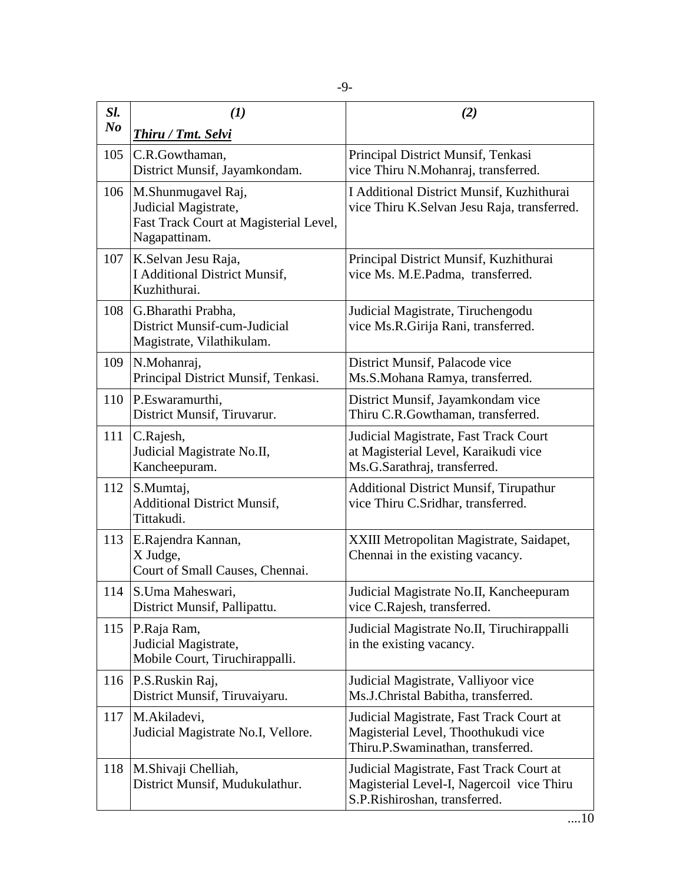| Sl.<br>N <sub>o</sub> | (1)                                                                                                                                    | (2)                                                                                                                             |
|-----------------------|----------------------------------------------------------------------------------------------------------------------------------------|---------------------------------------------------------------------------------------------------------------------------------|
| 105                   | Thiru / Tmt. Selvi<br>C.R.Gowthaman,                                                                                                   | Principal District Munsif, Tenkasi                                                                                              |
| 106                   | District Munsif, Jayamkondam.<br>M.Shunmugavel Raj,<br>Judicial Magistrate,<br>Fast Track Court at Magisterial Level,<br>Nagapattinam. | vice Thiru N.Mohanraj, transferred.<br>I Additional District Munsif, Kuzhithurai<br>vice Thiru K.Selvan Jesu Raja, transferred. |
| 107                   | K.Selvan Jesu Raja,<br><b>I Additional District Munsif,</b><br>Kuzhithurai.                                                            | Principal District Munsif, Kuzhithurai<br>vice Ms. M.E.Padma, transferred.                                                      |
| 108                   | G.Bharathi Prabha,<br>District Munsif-cum-Judicial<br>Magistrate, Vilathikulam.                                                        | Judicial Magistrate, Tiruchengodu<br>vice Ms.R.Girija Rani, transferred.                                                        |
| 109                   | N.Mohanraj,<br>Principal District Munsif, Tenkasi.                                                                                     | District Munsif, Palacode vice<br>Ms.S.Mohana Ramya, transferred.                                                               |
| 110                   | P.Eswaramurthi,<br>District Munsif, Tiruvarur.                                                                                         | District Munsif, Jayamkondam vice<br>Thiru C.R.Gowthaman, transferred.                                                          |
| 111                   | C.Rajesh,<br>Judicial Magistrate No.II,<br>Kancheepuram.                                                                               | Judicial Magistrate, Fast Track Court<br>at Magisterial Level, Karaikudi vice<br>Ms.G.Sarathraj, transferred.                   |
| 112                   | S.Mumtaj,<br><b>Additional District Munsif,</b><br>Tittakudi.                                                                          | <b>Additional District Munsif, Tirupathur</b><br>vice Thiru C.Sridhar, transferred.                                             |
| 113                   | E.Rajendra Kannan,<br>X Judge,<br>Court of Small Causes, Chennai.                                                                      | XXIII Metropolitan Magistrate, Saidapet,<br>Chennai in the existing vacancy.                                                    |
| 114                   | S.Uma Maheswari,<br>District Munsif, Pallipattu.                                                                                       | Judicial Magistrate No.II, Kancheepuram<br>vice C.Rajesh, transferred.                                                          |
| 115                   | P.Raja Ram,<br>Judicial Magistrate,<br>Mobile Court, Tiruchirappalli.                                                                  | Judicial Magistrate No.II, Tiruchirappalli<br>in the existing vacancy.                                                          |
| 116                   | P.S.Ruskin Raj,<br>District Munsif, Tiruvaiyaru.                                                                                       | Judicial Magistrate, Valliyoor vice<br>Ms.J.Christal Babitha, transferred.                                                      |
| 117                   | M.Akiladevi,<br>Judicial Magistrate No.I, Vellore.                                                                                     | Judicial Magistrate, Fast Track Court at<br>Magisterial Level, Thoothukudi vice<br>Thiru.P.Swaminathan, transferred.            |
| 118                   | M.Shivaji Chelliah,<br>District Munsif, Mudukulathur.                                                                                  | Judicial Magistrate, Fast Track Court at<br>Magisterial Level-I, Nagercoil vice Thiru<br>S.P.Rishiroshan, transferred.          |